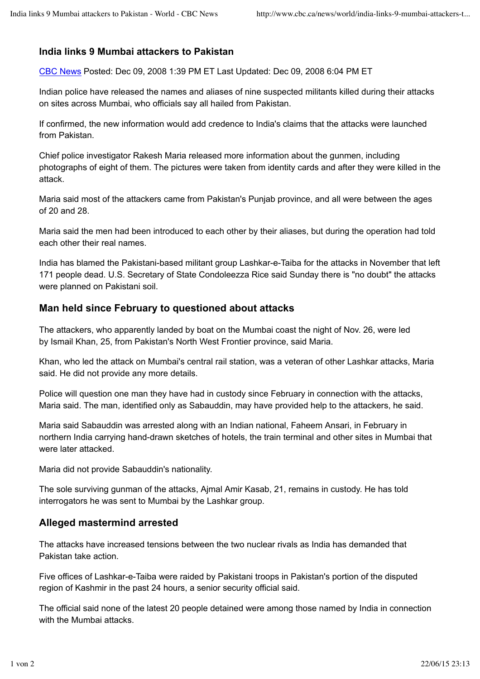## **India links 9 Mumbai attackers to Pakistan**

CBC News Posted: Dec 09, 2008 1:39 PM ET Last Updated: Dec 09, 2008 6:04 PM ET

Indian police have released the names and aliases of nine suspected militants killed during their attacks on sites across Mumbai, who officials say all hailed from Pakistan.

If confirmed, the new information would add credence to India's claims that the attacks were launched from Pakistan.

Chief police investigator Rakesh Maria released more information about the gunmen, including photographs of eight of them. The pictures were taken from identity cards and after they were killed in the attack.

Maria said most of the attackers came from Pakistan's Punjab province, and all were between the ages of 20 and 28.

Maria said the men had been introduced to each other by their aliases, but during the operation had told each other their real names.

India has blamed the Pakistani-based militant group Lashkar-e-Taiba for the attacks in November that left 171 people dead. U.S. Secretary of State Condoleezza Rice said Sunday there is "no doubt" the attacks were planned on Pakistani soil.

## **Man held since February to questioned about attacks**

The attackers, who apparently landed by boat on the Mumbai coast the night of Nov. 26, were led by Ismail Khan, 25, from Pakistan's North West Frontier province, said Maria.

Khan, who led the attack on Mumbai's central rail station, was a veteran of other Lashkar attacks, Maria said. He did not provide any more details.

Police will question one man they have had in custody since February in connection with the attacks, Maria said. The man, identified only as Sabauddin, may have provided help to the attackers, he said.

Maria said Sabauddin was arrested along with an Indian national, Faheem Ansari, in February in northern India carrying hand-drawn sketches of hotels, the train terminal and other sites in Mumbai that were later attacked.

Maria did not provide Sabauddin's nationality.

The sole surviving gunman of the attacks, Ajmal Amir Kasab, 21, remains in custody. He has told interrogators he was sent to Mumbai by the Lashkar group.

## **Alleged mastermind arrested**

The attacks have increased tensions between the two nuclear rivals as India has demanded that Pakistan take action.

Five offices of Lashkar-e-Taiba were raided by Pakistani troops in Pakistan's portion of the disputed region of Kashmir in the past 24 hours, a senior security official said.

The official said none of the latest 20 people detained were among those named by India in connection with the Mumbai attacks.